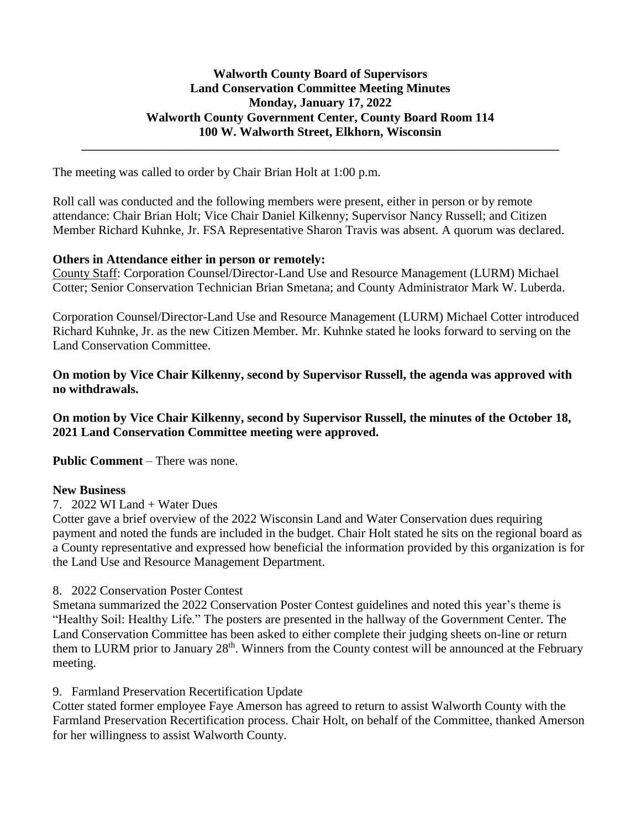## **Walworth County Board of Supervisors Land Conservation Committee Meeting Minutes Monday, January 17, 2022 Walworth County Government Center, County Board Room 114 100 W. Walworth Street, Elkhorn, Wisconsin**

**\_\_\_\_\_\_\_\_\_\_\_\_\_\_\_\_\_\_\_\_\_\_\_\_\_\_\_\_\_\_\_\_\_\_\_\_\_\_\_\_\_\_\_\_\_\_\_\_\_\_\_\_\_\_\_\_\_\_\_\_\_\_\_\_\_\_\_\_\_\_\_\_\_\_\_\_\_\_\_\_\_\_\_**

The meeting was called to order by Chair Brian Holt at 1:00 p.m.

Roll call was conducted and the following members were present, either in person or by remote attendance: Chair Brian Holt; Vice Chair Daniel Kilkenny; Supervisor Nancy Russell; and Citizen Member Richard Kuhnke, Jr. FSA Representative Sharon Travis was absent. A quorum was declared.

#### **Others in Attendance either in person or remotely:**

County Staff: Corporation Counsel/Director-Land Use and Resource Management (LURM) Michael Cotter; Senior Conservation Technician Brian Smetana; and County Administrator Mark W. Luberda.

Corporation Counsel/Director-Land Use and Resource Management (LURM) Michael Cotter introduced Richard Kuhnke, Jr. as the new Citizen Member. Mr. Kuhnke stated he looks forward to serving on the Land Conservation Committee.

## **On motion by Vice Chair Kilkenny, second by Supervisor Russell, the agenda was approved with no withdrawals.**

**On motion by Vice Chair Kilkenny, second by Supervisor Russell, the minutes of the October 18, 2021 Land Conservation Committee meeting were approved.**

**Public Comment** – There was none.

# **New Business**

7. 2022 WI Land + Water Dues

Cotter gave a brief overview of the 2022 Wisconsin Land and Water Conservation dues requiring payment and noted the funds are included in the budget. Chair Holt stated he sits on the regional board as a County representative and expressed how beneficial the information provided by this organization is for the Land Use and Resource Management Department.

8. 2022 Conservation Poster Contest

Smetana summarized the 2022 Conservation Poster Contest guidelines and noted this year's theme is "Healthy Soil: Healthy Life." The posters are presented in the hallway of the Government Center. The Land Conservation Committee has been asked to either complete their judging sheets on-line or return them to LURM prior to January 28<sup>th</sup>. Winners from the County contest will be announced at the February meeting.

# 9. Farmland Preservation Recertification Update

Cotter stated former employee Faye Amerson has agreed to return to assist Walworth County with the Farmland Preservation Recertification process. Chair Holt, on behalf of the Committee, thanked Amerson for her willingness to assist Walworth County.